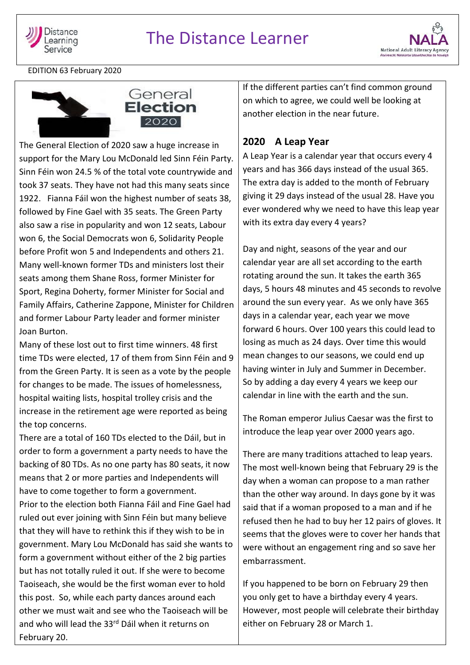



EDITION 63 February 2020





The General Election of 2020 saw a huge increase in support for the Mary Lou McDonald led Sinn Féin Party. Sinn Féin won 24.5 % of the total vote countrywide and took 37 seats. They have not had this many seats since 1922. Fianna Fáil won the highest number of seats 38, followed by Fine Gael with 35 seats. The Green Party also saw a rise in popularity and won 12 seats, Labour won 6, the Social Democrats won 6, Solidarity People before Profit won 5 and Independents and others 21. Many well-known former TDs and ministers lost their seats among them Shane Ross, former Minister for Sport, Regina Doherty, former Minister for Social and Family Affairs, Catherine Zappone, Minister for Children and former Labour Party leader and former minister Joan Burton.

Many of these lost out to first time winners. 48 first time TDs were elected, 17 of them from Sinn Féin and 9 from the Green Party. It is seen as a vote by the people for changes to be made. The issues of homelessness, hospital waiting lists, hospital trolley crisis and the increase in the retirement age were reported as being the top concerns.

There are a total of 160 TDs elected to the Dáil, but in order to form a government a party needs to have the backing of 80 TDs. As no one party has 80 seats, it now means that 2 or more parties and Independents will have to come together to form a government. Prior to the election both Fianna Fáil and Fine Gael had ruled out ever joining with Sinn Féin but many believe that they will have to rethink this if they wish to be in government. Mary Lou McDonald has said she wants to form a government without either of the 2 big parties but has not totally ruled it out. If she were to become Taoiseach, she would be the first woman ever to hold this post. So, while each party dances around each other we must wait and see who the Taoiseach will be and who will lead the 33rd Dáil when it returns on February 20.

If the different parties can't find common ground on which to agree, we could well be looking at another election in the near future.

# **2020 A Leap Year**

A Leap Year is a calendar year that occurs every 4 years and has 366 days instead of the usual 365. The extra day is added to the month of February giving it 29 days instead of the usual 28. Have you ever wondered why we need to have this leap year with its extra day every 4 years?

Day and night, seasons of the year and our calendar year are all set according to the earth rotating around the sun. It takes the earth 365 days, 5 hours 48 minutes and 45 seconds to revolve around the sun every year. As we only have 365 days in a calendar year, each year we move forward 6 hours. Over 100 years this could lead to losing as much as 24 days. Over time this would mean changes to our seasons, we could end up having winter in July and Summer in December. So by adding a day every 4 years we keep our calendar in line with the earth and the sun.

The Roman emperor Julius Caesar was the first to introduce the leap year over 2000 years ago.

There are many traditions attached to leap years. The most well-known being that February 29 is the day when a woman can propose to a man rather than the other way around. In days gone by it was said that if a woman proposed to a man and if he refused then he had to buy her 12 pairs of gloves. It seems that the gloves were to cover her hands that were without an engagement ring and so save her embarrassment.

If you happened to be born on February 29 then you only get to have a birthday every 4 years. However, most people will celebrate their birthday either on February 28 or March 1.